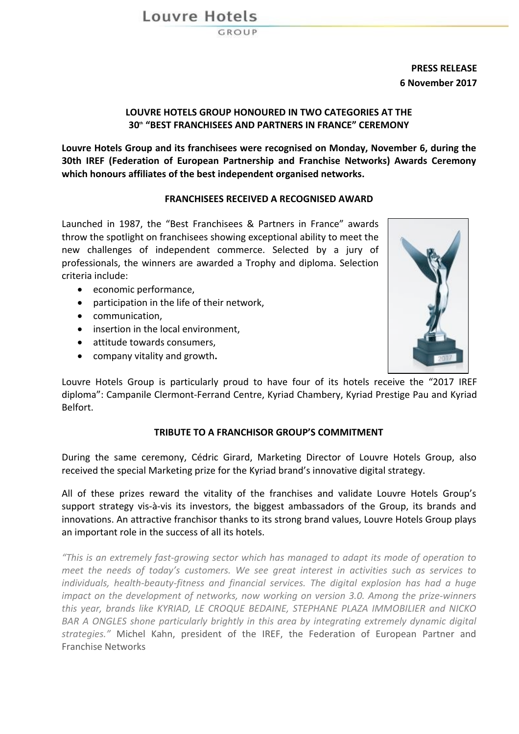Louvre Hotels

**PRESS RELEASE 6 November 2017**

## **LOUVRE HOTELS GROUP HONOURED IN TWO CATEGORIES AT THE 30<sup>th</sup> <b>"BEST FRANCHISEES AND PARTNERS IN FRANCE" CEREMONY**

Louvre Hotels Group and its franchisees were recognised on Monday, November 6, during the **30th IREF (Federation of European Partnership and Franchise Networks) Awards Ceremony which honours affiliates of the best independent organised networks.**

## **FRANCHISEES RECEIVED A RECOGNISED AWARD**

Launched in 1987, the "Best Franchisees & Partners in France" awards throw the spotlight on franchisees showing exceptional ability to meet the new challenges of independent commerce. Selected by a jury of professionals, the winners are awarded a Trophy and diploma. Selection criteria include:

- economic performance,
- $\bullet$  participation in the life of their network.
- communication,
- insertion in the local environment,
- attitude towards consumers,
- company vitality and growth**.**



Louvre Hotels Group is particularly proud to have four of its hotels receive the "2017 IREF diploma": Campanile Clermont-Ferrand Centre, Kyriad Chambery, Kyriad Prestige Pau and Kyriad Belfort.

## **TRIBUTE TO A FRANCHISOR GROUP'S COMMITMENT**

During the same ceremony, Cédric Girard, Marketing Director of Louvre Hotels Group, also received the special Marketing prize for the Kyriad brand's innovative digital strategy.

All of these prizes reward the vitality of the franchises and validate Louvre Hotels Group's support strategy vis-à-vis its investors, the biggest ambassadors of the Group, its brands and innovations. An attractive franchisor thanks to its strong brand values, Louvre Hotels Group plays an important role in the success of all its hotels.

*"This* is an extremely fast-growing sector which has managed to adapt its mode of operation to *meet the needs of today's customers. We see great interest in activities such as services to individuals, health-beauty-fitness and financial services. The digital explosion has had a huge impact* on the development of networks, now working on version 3.0. Among the prize-winners *this* year, brands like KYRIAD, LE CROQUE BEDAINE, STEPHANE PLAZA IMMOBILIER and NICKO *BAR* A ONGLES shone particularly brightly in this area by integrating extremely dynamic digital strategies." Michel Kahn, president of the IREF, the Federation of European Partner and Franchise Networks